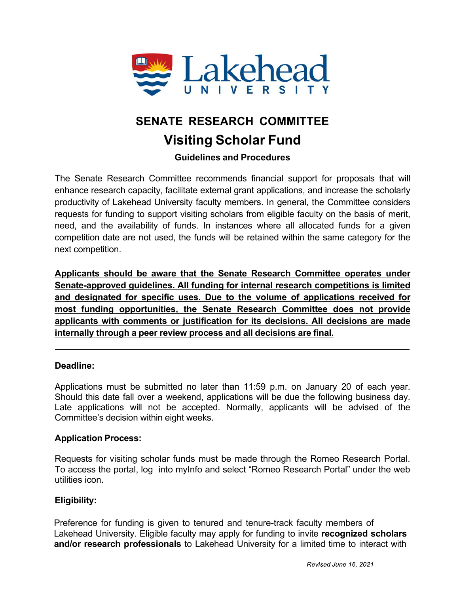

# **SENATE RESEARCH COMMITTEE Visiting Scholar Fund**

## **Guidelines and Procedures**

The Senate Research Committee recommends financial support for proposals that will enhance research capacity, facilitate external grant applications, and increase the scholarly productivity of Lakehead University faculty members. In general, the Committee considers requests for funding to support visiting scholars from eligible faculty on the basis of merit, need, and the availability of funds. In instances where all allocated funds for a given competition date are not used, the funds will be retained within the same category for the next competition.

**Applicants should be aware that the Senate Research Committee operates under Senate-approved guidelines. All funding for internal research competitions is limited and designated for specific uses. Due to the volume of applications received for most funding opportunities, the Senate Research Committee does not provide applicants with comments or justification for its decisions. All decisions are made internally through a peer review process and all decisions are final.**

### **Deadline:**

Applications must be submitted no later than 11:59 p.m. on January 20 of each year. Should this date fall over a weekend, applications will be due the following business day. Late applications will not be accepted. Normally, applicants will be advised of the Committee's decision within eight weeks.

### **Application Process:**

Requests for visiting scholar funds must be made through the Romeo Research Portal. To access the portal, log into myInfo and select "Romeo Research Portal" under the web utilities icon.

### **Eligibility:**

Preference for funding is given to tenured and tenure-track faculty members of Lakehead University. Eligible faculty may apply for funding to invite **recognized scholars and/or research professionals** to Lakehead University for a limited time to interact with